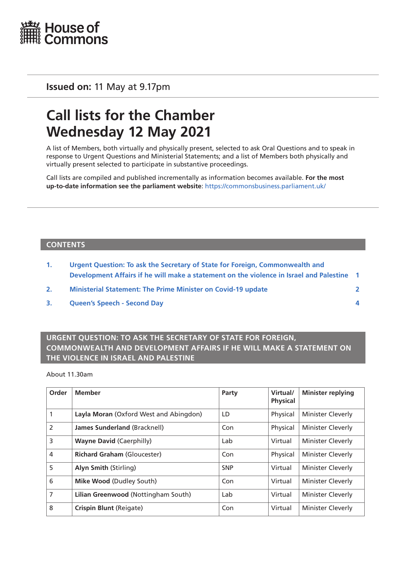

**Issued on:** 11 May at 9.17pm

# **Call lists for the Chamber Wednesday 12 May 2021**

A list of Members, both virtually and physically present, selected to ask Oral Questions and to speak in response to Urgent Questions and Ministerial Statements; and a list of Members both physically and virtually present selected to participate in substantive proceedings.

Call lists are compiled and published incrementally as information becomes available. **For the most up-to-date information see the parliament website**: <https://commonsbusiness.parliament.uk/>

#### **CONTENTS**

- **1. Urgent Question: To ask the Secretary of State for Foreign, Commonwealth and Development Affairs if he will make a statement on the violence in Israel and Palestine 1**
- **2. [Ministerial Statement: The Prime Minister on Covid-19 update 2](#page-1-0)**
- **3. [Queen's Speech Second Day](#page-3-0) 4**

### **URGENT QUESTION: TO ASK THE SECRETARY OF STATE FOR FOREIGN, COMMONWEALTH AND DEVELOPMENT AFFAIRS IF HE WILL MAKE A STATEMENT ON THE VIOLENCE IN ISRAEL AND PALESTINE**

About 11.30am

| Order          | <b>Member</b>                          | Party      | Virtual/<br><b>Physical</b> | <b>Minister replying</b> |
|----------------|----------------------------------------|------------|-----------------------------|--------------------------|
| 1              | Layla Moran (Oxford West and Abingdon) | LD         | Physical                    | <b>Minister Cleverly</b> |
| $\overline{2}$ | James Sunderland (Bracknell)           | Con        | Physical                    | <b>Minister Cleverly</b> |
| 3              | <b>Wayne David (Caerphilly)</b>        | Lab        | Virtual                     | <b>Minister Cleverly</b> |
| 4              | <b>Richard Graham (Gloucester)</b>     | Con        | Physical                    | <b>Minister Cleverly</b> |
| 5              | Alyn Smith (Stirling)                  | <b>SNP</b> | Virtual                     | <b>Minister Cleverly</b> |
| 6              | Mike Wood (Dudley South)               | Con        | Virtual                     | Minister Cleverly        |
| $\overline{7}$ | Lilian Greenwood (Nottingham South)    | Lab        | Virtual                     | <b>Minister Cleverly</b> |
| 8              | Crispin Blunt (Reigate)                | Con        | Virtual                     | <b>Minister Cleverly</b> |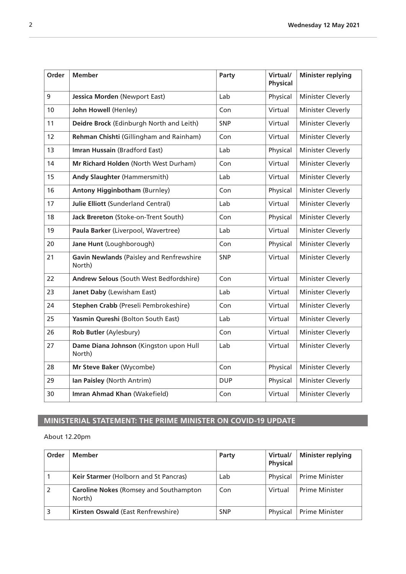<span id="page-1-0"></span>

| Order | <b>Member</b>                                      | Party      | Virtual/<br><b>Physical</b> | <b>Minister replying</b> |
|-------|----------------------------------------------------|------------|-----------------------------|--------------------------|
| 9     | Jessica Morden (Newport East)                      | Lab        | Physical                    | Minister Cleverly        |
| 10    | John Howell (Henley)                               | Con        | Virtual                     | Minister Cleverly        |
| 11    | Deidre Brock (Edinburgh North and Leith)           | <b>SNP</b> | Virtual                     | Minister Cleverly        |
| 12    | Rehman Chishti (Gillingham and Rainham)            | Con        | Virtual                     | Minister Cleverly        |
| 13    | Imran Hussain (Bradford East)                      | Lab        | Physical                    | Minister Cleverly        |
| 14    | Mr Richard Holden (North West Durham)              | Con        | Virtual                     | Minister Cleverly        |
| 15    | Andy Slaughter (Hammersmith)                       | Lab        | Virtual                     | Minister Cleverly        |
| 16    | <b>Antony Higginbotham (Burnley)</b>               | Con        | Physical                    | Minister Cleverly        |
| 17    | <b>Julie Elliott (Sunderland Central)</b>          | Lab        | Virtual                     | Minister Cleverly        |
| 18    | Jack Brereton (Stoke-on-Trent South)               | Con        | Physical                    | Minister Cleverly        |
| 19    | Paula Barker (Liverpool, Wavertree)                | Lab        | Virtual                     | Minister Cleverly        |
| 20    | Jane Hunt (Loughborough)                           | Con        | Physical                    | Minister Cleverly        |
| 21    | Gavin Newlands (Paisley and Renfrewshire<br>North) | <b>SNP</b> | Virtual                     | Minister Cleverly        |
| 22    | Andrew Selous (South West Bedfordshire)            | Con        | Virtual                     | Minister Cleverly        |
| 23    | Janet Daby (Lewisham East)                         | Lab        | Virtual                     | Minister Cleverly        |
| 24    | Stephen Crabb (Preseli Pembrokeshire)              | Con        | Virtual                     | Minister Cleverly        |
| 25    | Yasmin Qureshi (Bolton South East)                 | Lab        | Virtual                     | Minister Cleverly        |
| 26    | Rob Butler (Aylesbury)                             | Con        | Virtual                     | Minister Cleverly        |
| 27    | Dame Diana Johnson (Kingston upon Hull<br>North)   | Lab        | Virtual                     | Minister Cleverly        |
| 28    | Mr Steve Baker (Wycombe)                           | Con        | Physical                    | Minister Cleverly        |
| 29    | Ian Paisley (North Antrim)                         | <b>DUP</b> | Physical                    | Minister Cleverly        |
| 30    | Imran Ahmad Khan (Wakefield)                       | Con        | Virtual                     | Minister Cleverly        |

## **MINISTERIAL STATEMENT: THE PRIME MINISTER ON COVID-19 UPDATE**

#### About 12.20pm

| Order | <b>Member</b>                                           | Party      | Virtual/<br><b>Physical</b> | <b>Minister replying</b> |
|-------|---------------------------------------------------------|------------|-----------------------------|--------------------------|
|       | Keir Starmer (Holborn and St Pancras)                   | Lab        | Physical                    | <b>Prime Minister</b>    |
|       | <b>Caroline Nokes (Romsey and Southampton</b><br>North) | Con        | Virtual                     | <b>Prime Minister</b>    |
|       | Kirsten Oswald (East Renfrewshire)                      | <b>SNP</b> | Physical                    | <b>Prime Minister</b>    |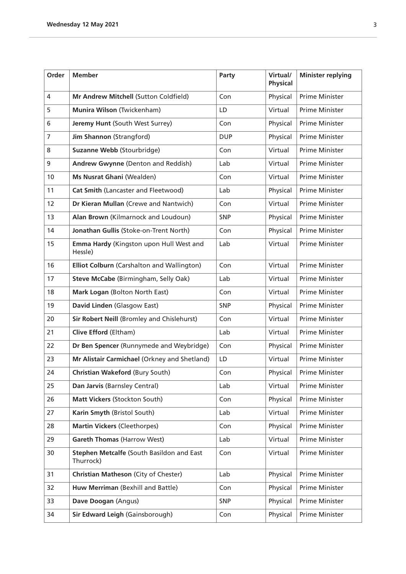| Order          | <b>Member</b>                                          | Party      | Virtual/<br><b>Physical</b> | <b>Minister replying</b> |
|----------------|--------------------------------------------------------|------------|-----------------------------|--------------------------|
| $\overline{4}$ | Mr Andrew Mitchell (Sutton Coldfield)                  | Con        | Physical                    | Prime Minister           |
| 5              | Munira Wilson (Twickenham)                             | LD         | Virtual                     | Prime Minister           |
| 6              | Jeremy Hunt (South West Surrey)                        | Con        | Physical                    | Prime Minister           |
| $\overline{7}$ | Jim Shannon (Strangford)                               | <b>DUP</b> | Physical                    | Prime Minister           |
| 8              | Suzanne Webb (Stourbridge)                             | Con        | Virtual                     | <b>Prime Minister</b>    |
| 9              | Andrew Gwynne (Denton and Reddish)                     | Lab        | Virtual                     | <b>Prime Minister</b>    |
| 10             | Ms Nusrat Ghani (Wealden)                              | Con        | Virtual                     | <b>Prime Minister</b>    |
| 11             | Cat Smith (Lancaster and Fleetwood)                    | Lab        | Physical                    | Prime Minister           |
| 12             | Dr Kieran Mullan (Crewe and Nantwich)                  | Con        | Virtual                     | Prime Minister           |
| 13             | Alan Brown (Kilmarnock and Loudoun)                    | <b>SNP</b> | Physical                    | Prime Minister           |
| 14             | Jonathan Gullis (Stoke-on-Trent North)                 | Con        | Physical                    | <b>Prime Minister</b>    |
| 15             | Emma Hardy (Kingston upon Hull West and<br>Hessle)     | Lab        | Virtual                     | Prime Minister           |
| 16             | Elliot Colburn (Carshalton and Wallington)             | Con        | Virtual                     | Prime Minister           |
| 17             | Steve McCabe (Birmingham, Selly Oak)                   | Lab        | Virtual                     | Prime Minister           |
| 18             | Mark Logan (Bolton North East)                         | Con        | Virtual                     | Prime Minister           |
| 19             | David Linden (Glasgow East)                            | <b>SNP</b> | Physical                    | Prime Minister           |
| 20             | Sir Robert Neill (Bromley and Chislehurst)             | Con        | Virtual                     | Prime Minister           |
| 21             | Clive Efford (Eltham)                                  | Lab        | Virtual                     | Prime Minister           |
| 22             | Dr Ben Spencer (Runnymede and Weybridge)               | Con        | Physical                    | Prime Minister           |
| 23             | Mr Alistair Carmichael (Orkney and Shetland)           | LD         | Virtual                     | <b>Prime Minister</b>    |
| 24             | Christian Wakeford (Bury South)                        | Con        | Physical                    | Prime Minister           |
| 25             | Dan Jarvis (Barnsley Central)                          | Lab        | Virtual                     | Prime Minister           |
| 26             | Matt Vickers (Stockton South)                          | Con        | Physical                    | Prime Minister           |
| 27             | Karin Smyth (Bristol South)                            | Lab        | Virtual                     | Prime Minister           |
| 28             | <b>Martin Vickers (Cleethorpes)</b>                    | Con        | Physical                    | Prime Minister           |
| 29             | <b>Gareth Thomas (Harrow West)</b>                     | Lab        | Virtual                     | Prime Minister           |
| 30             | Stephen Metcalfe (South Basildon and East<br>Thurrock) | Con        | Virtual                     | Prime Minister           |
| 31             | Christian Matheson (City of Chester)                   | Lab        | Physical                    | Prime Minister           |
| 32             | Huw Merriman (Bexhill and Battle)                      | Con        | Physical                    | Prime Minister           |
| 33             | Dave Doogan (Angus)                                    | <b>SNP</b> | Physical                    | Prime Minister           |
| 34             | Sir Edward Leigh (Gainsborough)                        | Con        | Physical                    | Prime Minister           |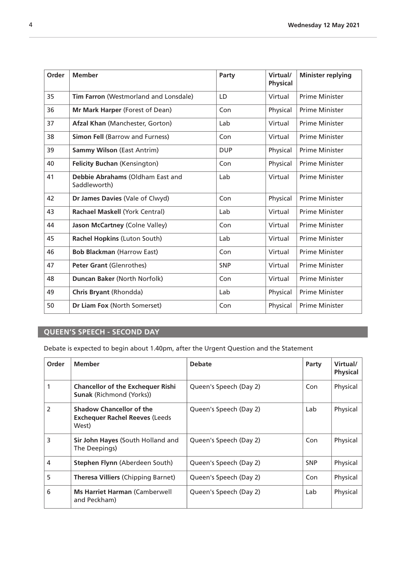<span id="page-3-0"></span>

| Order | <b>Member</b>                                    | Party      | Virtual/<br><b>Physical</b> | <b>Minister replying</b> |
|-------|--------------------------------------------------|------------|-----------------------------|--------------------------|
| 35    | Tim Farron (Westmorland and Lonsdale)            | LD         | Virtual                     | <b>Prime Minister</b>    |
| 36    | Mr Mark Harper (Forest of Dean)                  | Con        | Physical                    | <b>Prime Minister</b>    |
| 37    | <b>Afzal Khan (Manchester, Gorton)</b>           | Lab        | Virtual                     | <b>Prime Minister</b>    |
| 38    | <b>Simon Fell (Barrow and Furness)</b>           | Con        | Virtual                     | <b>Prime Minister</b>    |
| 39    | <b>Sammy Wilson (East Antrim)</b>                | <b>DUP</b> | Physical                    | <b>Prime Minister</b>    |
| 40    | <b>Felicity Buchan (Kensington)</b>              | Con        | Physical                    | <b>Prime Minister</b>    |
| 41    | Debbie Abrahams (Oldham East and<br>Saddleworth) | Lab        | Virtual                     | <b>Prime Minister</b>    |
| 42    | Dr James Davies (Vale of Clwyd)                  | Con        | Physical                    | <b>Prime Minister</b>    |
| 43    | Rachael Maskell (York Central)                   | Lab        | Virtual                     | <b>Prime Minister</b>    |
| 44    | Jason McCartney (Colne Valley)                   | Con        | Virtual                     | <b>Prime Minister</b>    |
| 45    | Rachel Hopkins (Luton South)                     | Lab        | Virtual                     | <b>Prime Minister</b>    |
| 46    | <b>Bob Blackman (Harrow East)</b>                | Con        | Virtual                     | <b>Prime Minister</b>    |
| 47    | <b>Peter Grant (Glenrothes)</b>                  | <b>SNP</b> | Virtual                     | <b>Prime Minister</b>    |
| 48    | Duncan Baker (North Norfolk)                     | Con        | Virtual                     | <b>Prime Minister</b>    |
| 49    | Chris Bryant (Rhondda)                           | Lab        | Physical                    | <b>Prime Minister</b>    |
| 50    | Dr Liam Fox (North Somerset)                     | Con        | Physical                    | Prime Minister           |

## **QUEEN'S SPEECH - SECOND DAY**

Debate is expected to begin about 1.40pm, after the Urgent Question and the Statement

| Order          | <b>Member</b>                                                                     | <b>Debate</b>          | Party      | Virtual/<br><b>Physical</b> |
|----------------|-----------------------------------------------------------------------------------|------------------------|------------|-----------------------------|
|                | <b>Chancellor of the Exchequer Rishi</b><br><b>Sunak (Richmond (Yorks))</b>       | Queen's Speech (Day 2) | Con        | Physical                    |
| $\overline{2}$ | <b>Shadow Chancellor of the</b><br><b>Exchequer Rachel Reeves (Leeds</b><br>West) | Queen's Speech (Day 2) | Lab        | Physical                    |
| 3              | Sir John Hayes (South Holland and<br>The Deepings)                                | Queen's Speech (Day 2) | Con        | Physical                    |
| $\overline{4}$ | Stephen Flynn (Aberdeen South)                                                    | Queen's Speech (Day 2) | <b>SNP</b> | Physical                    |
| 5              | <b>Theresa Villiers (Chipping Barnet)</b>                                         | Queen's Speech (Day 2) | Con        | Physical                    |
| 6              | <b>Ms Harriet Harman (Camberwell</b><br>and Peckham)                              | Queen's Speech (Day 2) | Lab        | Physical                    |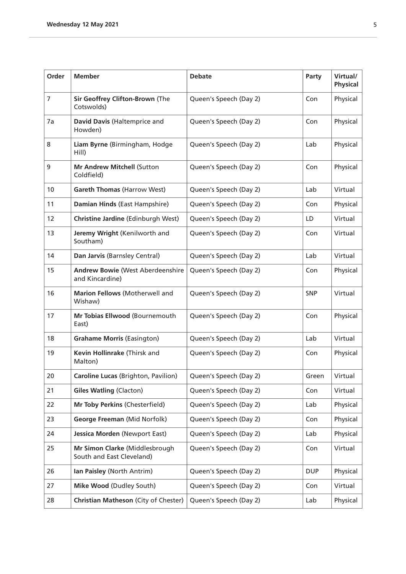| Order          | <b>Member</b>                                                       | <b>Debate</b>          | Party      | Virtual/<br><b>Physical</b> |
|----------------|---------------------------------------------------------------------|------------------------|------------|-----------------------------|
| $\overline{7}$ | Sir Geoffrey Clifton-Brown (The<br>Cotswolds)                       | Queen's Speech (Day 2) | Con        | Physical                    |
| 7a             | David Davis (Haltemprice and<br>Howden)                             | Queen's Speech (Day 2) | Con        | Physical                    |
| 8              | Liam Byrne (Birmingham, Hodge<br>Hill)                              | Queen's Speech (Day 2) | Lab        | Physical                    |
| 9              | Mr Andrew Mitchell (Sutton<br>Coldfield)                            | Queen's Speech (Day 2) | Con        | Physical                    |
| 10             | <b>Gareth Thomas (Harrow West)</b>                                  | Queen's Speech (Day 2) | Lab        | Virtual                     |
| 11             | Damian Hinds (East Hampshire)                                       | Queen's Speech (Day 2) | Con        | Physical                    |
| 12             | Christine Jardine (Edinburgh West)                                  | Queen's Speech (Day 2) | LD         | Virtual                     |
| 13             | Jeremy Wright (Kenilworth and<br>Southam)                           | Queen's Speech (Day 2) | Con        | Virtual                     |
| 14             | Dan Jarvis (Barnsley Central)                                       | Queen's Speech (Day 2) | Lab        | Virtual                     |
| 15             | <b>Andrew Bowie (West Aberdeenshire</b><br>and Kincardine)          | Queen's Speech (Day 2) | Con        | Physical                    |
| 16             | Marion Fellows (Motherwell and<br>Wishaw)                           | Queen's Speech (Day 2) | <b>SNP</b> | Virtual                     |
| 17             | Mr Tobias Ellwood (Bournemouth<br>East)                             | Queen's Speech (Day 2) | Con        | Physical                    |
| 18             | <b>Grahame Morris (Easington)</b>                                   | Queen's Speech (Day 2) | Lab        | Virtual                     |
| 19             | Kevin Hollinrake (Thirsk and<br>Malton)                             | Queen's Speech (Day 2) | Con        | Physical                    |
| 20             | <b>Caroline Lucas</b> (Brighton, Pavilion)   Queen's Speech (Day 2) |                        | Green      | Virtual                     |
| 21             | <b>Giles Watling (Clacton)</b>                                      | Queen's Speech (Day 2) | Con        | Virtual                     |
| 22             | Mr Toby Perkins (Chesterfield)                                      | Queen's Speech (Day 2) | Lab        | Physical                    |
| 23             | George Freeman (Mid Norfolk)                                        | Queen's Speech (Day 2) | Con        | Physical                    |
| 24             | Jessica Morden (Newport East)                                       | Queen's Speech (Day 2) | Lab        | Physical                    |
| 25             | Mr Simon Clarke (Middlesbrough<br>South and East Cleveland)         | Queen's Speech (Day 2) | Con        | Virtual                     |
| 26             | Ian Paisley (North Antrim)                                          | Queen's Speech (Day 2) | <b>DUP</b> | Physical                    |
| 27             | Mike Wood (Dudley South)                                            | Queen's Speech (Day 2) | Con        | Virtual                     |
| 28             | Christian Matheson (City of Chester)                                | Queen's Speech (Day 2) | Lab        | Physical                    |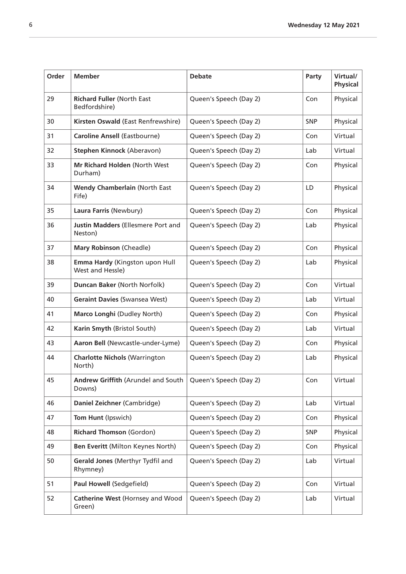| Order | <b>Member</b>                                      | <b>Debate</b>          | Party      | Virtual/<br><b>Physical</b> |
|-------|----------------------------------------------------|------------------------|------------|-----------------------------|
| 29    | <b>Richard Fuller (North East</b><br>Bedfordshire) | Queen's Speech (Day 2) | Con        | Physical                    |
| 30    | Kirsten Oswald (East Renfrewshire)                 | Queen's Speech (Day 2) | <b>SNP</b> | Physical                    |
| 31    | <b>Caroline Ansell (Eastbourne)</b>                | Queen's Speech (Day 2) | Con        | Virtual                     |
| 32    | Stephen Kinnock (Aberavon)                         | Queen's Speech (Day 2) | Lab        | Virtual                     |
| 33    | Mr Richard Holden (North West<br>Durham)           | Queen's Speech (Day 2) | Con        | Physical                    |
| 34    | <b>Wendy Chamberlain (North East</b><br>Fife)      | Queen's Speech (Day 2) | LD         | Physical                    |
| 35    | Laura Farris (Newbury)                             | Queen's Speech (Day 2) | Con        | Physical                    |
| 36    | Justin Madders (Ellesmere Port and<br>Neston)      | Queen's Speech (Day 2) | Lab        | Physical                    |
| 37    | <b>Mary Robinson (Cheadle)</b>                     | Queen's Speech (Day 2) | Con        | Physical                    |
| 38    | Emma Hardy (Kingston upon Hull<br>West and Hessle) | Queen's Speech (Day 2) | Lab        | Physical                    |
| 39    | Duncan Baker (North Norfolk)                       | Queen's Speech (Day 2) | Con        | Virtual                     |
| 40    | <b>Geraint Davies (Swansea West)</b>               | Queen's Speech (Day 2) | Lab        | Virtual                     |
| 41    | Marco Longhi (Dudley North)                        | Queen's Speech (Day 2) | Con        | Physical                    |
| 42    | Karin Smyth (Bristol South)                        | Queen's Speech (Day 2) | Lab        | Virtual                     |
| 43    | Aaron Bell (Newcastle-under-Lyme)                  | Queen's Speech (Day 2) | Con        | Physical                    |
| 44    | <b>Charlotte Nichols (Warrington</b><br>North)     | Queen's Speech (Day 2) | Lab        | Physical                    |
| 45    | Andrew Griffith (Arundel and South<br>Downs)       | Queen's Speech (Day 2) | Con        | Virtual                     |
| 46    | Daniel Zeichner (Cambridge)                        | Queen's Speech (Day 2) | Lab        | Virtual                     |
| 47    | Tom Hunt (Ipswich)                                 | Queen's Speech (Day 2) | Con        | Physical                    |
| 48    | <b>Richard Thomson (Gordon)</b>                    | Queen's Speech (Day 2) | <b>SNP</b> | Physical                    |
| 49    | Ben Everitt (Milton Keynes North)                  | Queen's Speech (Day 2) | Con        | Physical                    |
| 50    | Gerald Jones (Merthyr Tydfil and<br>Rhymney)       | Queen's Speech (Day 2) | Lab        | Virtual                     |
| 51    | Paul Howell (Sedgefield)                           | Queen's Speech (Day 2) | Con        | Virtual                     |
| 52    | Catherine West (Hornsey and Wood<br>Green)         | Queen's Speech (Day 2) | Lab        | Virtual                     |